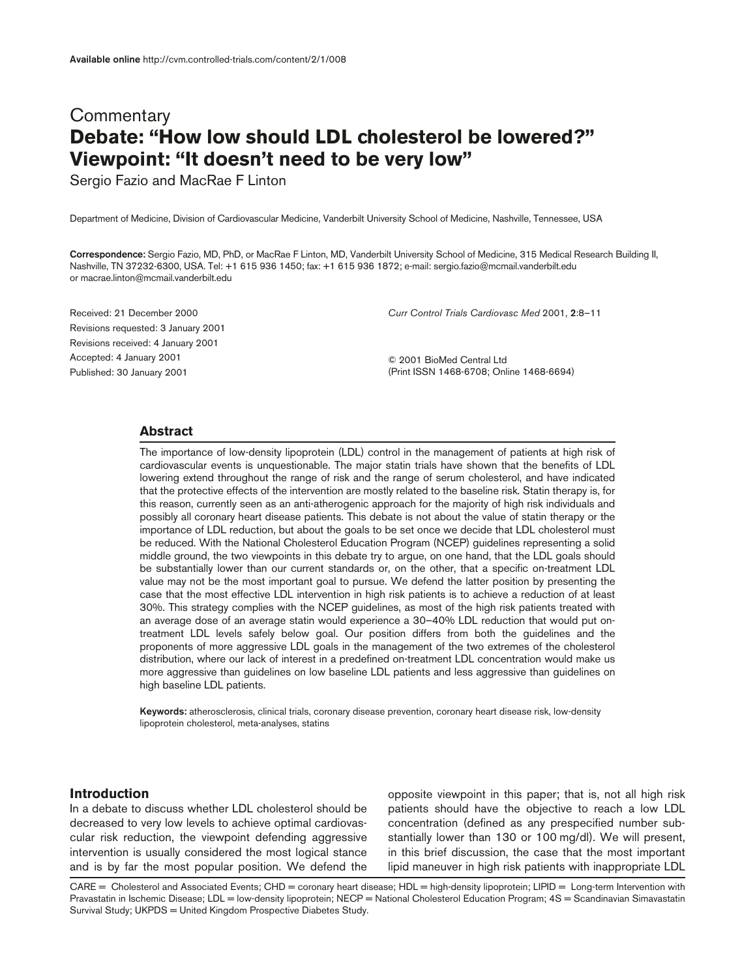# **Commentary Debate: "How low should LDL cholesterol be lowered?" Viewpoint: "It doesn't need to be very low"**

Sergio Fazio and MacRae F Linton

Department of Medicine, Division of Cardiovascular Medicine, Vanderbilt University School of Medicine, Nashville, Tennessee, USA

**Correspondence:** Sergio Fazio, MD, PhD, or MacRae F Linton, MD, Vanderbilt University School of Medicine, 315 Medical Research Building II, Nashville, TN 37232-6300, USA. Tel: +1 615 936 1450; fax: +1 615 936 1872; e-mail: sergio.fazio@mcmail.vanderbilt.edu or macrae.linton@mcmail.vanderbilt.edu

Received: 21 December 2000 Revisions requested: 3 January 2001 Revisions received: 4 January 2001 Accepted: 4 January 2001 Published: 30 January 2001

*Curr Control Trials Cardiovasc Med* 2001, **2**:8–11

© 2001 BioMed Central Ltd (Print ISSN 1468-6708; Online 1468-6694)

### **Abstract**

The importance of low-density lipoprotein (LDL) control in the management of patients at high risk of cardiovascular events is unquestionable. The major statin trials have shown that the benefits of LDL lowering extend throughout the range of risk and the range of serum cholesterol, and have indicated that the protective effects of the intervention are mostly related to the baseline risk. Statin therapy is, for this reason, currently seen as an anti-atherogenic approach for the majority of high risk individuals and possibly all coronary heart disease patients. This debate is not about the value of statin therapy or the importance of LDL reduction, but about the goals to be set once we decide that LDL cholesterol must be reduced. With the National Cholesterol Education Program (NCEP) guidelines representing a solid middle ground, the two viewpoints in this debate try to argue, on one hand, that the LDL goals should be substantially lower than our current standards or, on the other, that a specific on-treatment LDL value may not be the most important goal to pursue. We defend the latter position by presenting the case that the most effective LDL intervention in high risk patients is to achieve a reduction of at least 30%. This strategy complies with the NCEP guidelines, as most of the high risk patients treated with an average dose of an average statin would experience a 30–40% LDL reduction that would put ontreatment LDL levels safely below goal. Our position differs from both the guidelines and the proponents of more aggressive LDL goals in the management of the two extremes of the cholesterol distribution, where our lack of interest in a predefined on-treatment LDL concentration would make us more aggressive than guidelines on low baseline LDL patients and less aggressive than guidelines on high baseline LDL patients.

**Keywords:** atherosclerosis, clinical trials, coronary disease prevention, coronary heart disease risk, low-density lipoprotein cholesterol, meta-analyses, statins

### **Introduction**

In a debate to discuss whether LDL cholesterol should be decreased to very low levels to achieve optimal cardiovascular risk reduction, the viewpoint defending aggressive intervention is usually considered the most logical stance and is by far the most popular position. We defend the opposite viewpoint in this paper; that is, not all high risk patients should have the objective to reach a low LDL concentration (defined as any prespecified number substantially lower than 130 or 100 mg/dl). We will present, in this brief discussion, the case that the most important lipid maneuver in high risk patients with inappropriate LDL

CARE = Cholesterol and Associated Events; CHD = coronary heart disease; HDL = high-density lipoprotein; LIPID = Long-term Intervention with Pravastatin in Ischemic Disease; LDL = low-density lipoprotein; NECP = National Cholesterol Education Program; 4S = Scandinavian Simavastatin Survival Study; UKPDS = United Kingdom Prospective Diabetes Study.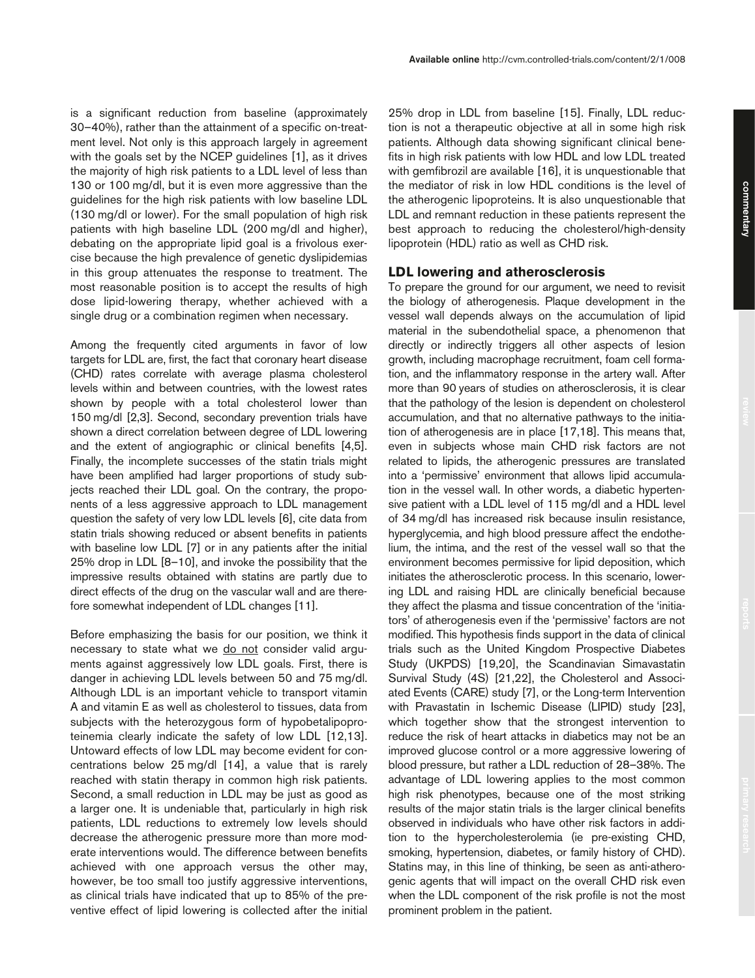is a significant reduction from baseline (approximately 30–40%), rather than the attainment of a specific on-treatment level. Not only is this approach largely in agreement with the goals set by the NCEP guidelines [1], as it drives the majority of high risk patients to a LDL level of less than 130 or 100 mg/dl, but it is even more aggressive than the guidelines for the high risk patients with low baseline LDL (130 mg/dl or lower). For the small population of high risk patients with high baseline LDL (200 mg/dl and higher), debating on the appropriate lipid goal is a frivolous exercise because the high prevalence of genetic dyslipidemias in this group attenuates the response to treatment. The most reasonable position is to accept the results of high dose lipid-lowering therapy, whether achieved with a single drug or a combination regimen when necessary.

Among the frequently cited arguments in favor of low targets for LDL are, first, the fact that coronary heart disease (CHD) rates correlate with average plasma cholesterol levels within and between countries, with the lowest rates shown by people with a total cholesterol lower than 150 mg/dl [2,3]. Second, secondary prevention trials have shown a direct correlation between degree of LDL lowering and the extent of angiographic or clinical benefits [4,5]. Finally, the incomplete successes of the statin trials might have been amplified had larger proportions of study subjects reached their LDL goal. On the contrary, the proponents of a less aggressive approach to LDL management question the safety of very low LDL levels [6], cite data from statin trials showing reduced or absent benefits in patients with baseline low LDL [7] or in any patients after the initial 25% drop in LDL [8–10], and invoke the possibility that the impressive results obtained with statins are partly due to direct effects of the drug on the vascular wall and are therefore somewhat independent of LDL changes [11].

Before emphasizing the basis for our position, we think it necessary to state what we do not consider valid arguments against aggressively low LDL goals. First, there is danger in achieving LDL levels between 50 and 75 mg/dl. Although LDL is an important vehicle to transport vitamin A and vitamin E as well as cholesterol to tissues, data from subjects with the heterozygous form of hypobetalipoproteinemia clearly indicate the safety of low LDL [12,13]. Untoward effects of low LDL may become evident for concentrations below 25 mg/dl [14], a value that is rarely reached with statin therapy in common high risk patients. Second, a small reduction in LDL may be just as good as a larger one. It is undeniable that, particularly in high risk patients, LDL reductions to extremely low levels should decrease the atherogenic pressure more than more moderate interventions would. The difference between benefits achieved with one approach versus the other may, however, be too small too justify aggressive interventions, as clinical trials have indicated that up to 85% of the preventive effect of lipid lowering is collected after the initial

25% drop in LDL from baseline [15]. Finally, LDL reduction is not a therapeutic objective at all in some high risk patients. Although data showing significant clinical benefits in high risk patients with low HDL and low LDL treated with gemfibrozil are available [16], it is unquestionable that the mediator of risk in low HDL conditions is the level of the atherogenic lipoproteins. It is also unquestionable that LDL and remnant reduction in these patients represent the best approach to reducing the cholesterol/high-density lipoprotein (HDL) ratio as well as CHD risk.

#### **LDL lowering and atherosclerosis**

To prepare the ground for our argument, we need to revisit the biology of atherogenesis. Plaque development in the vessel wall depends always on the accumulation of lipid material in the subendothelial space, a phenomenon that directly or indirectly triggers all other aspects of lesion growth, including macrophage recruitment, foam cell formation, and the inflammatory response in the artery wall. After more than 90 years of studies on atherosclerosis, it is clear that the pathology of the lesion is dependent on cholesterol accumulation, and that no alternative pathways to the initiation of atherogenesis are in place [17,18]. This means that, even in subjects whose main CHD risk factors are not related to lipids, the atherogenic pressures are translated into a 'permissive' environment that allows lipid accumulation in the vessel wall. In other words, a diabetic hypertensive patient with a LDL level of 115 mg/dl and a HDL level of 34 mg/dl has increased risk because insulin resistance, hyperglycemia, and high blood pressure affect the endothelium, the intima, and the rest of the vessel wall so that the environment becomes permissive for lipid deposition, which initiates the atherosclerotic process. In this scenario, lowering LDL and raising HDL are clinically beneficial because they affect the plasma and tissue concentration of the 'initiators' of atherogenesis even if the 'permissive' factors are not modified. This hypothesis finds support in the data of clinical trials such as the United Kingdom Prospective Diabetes Study (UKPDS) [19,20], the Scandinavian Simavastatin Survival Study (4S) [21,22], the Cholesterol and Associated Events (CARE) study [7], or the Long-term Intervention with Pravastatin in Ischemic Disease (LIPID) study [23], which together show that the strongest intervention to reduce the risk of heart attacks in diabetics may not be an improved glucose control or a more aggressive lowering of blood pressure, but rather a LDL reduction of 28–38%. The advantage of LDL lowering applies to the most common high risk phenotypes, because one of the most striking results of the major statin trials is the larger clinical benefits observed in individuals who have other risk factors in addition to the hypercholesterolemia (ie pre-existing CHD, smoking, hypertension, diabetes, or family history of CHD). Statins may, in this line of thinking, be seen as anti-atherogenic agents that will impact on the overall CHD risk even when the LDL component of the risk profile is not the most prominent problem in the patient.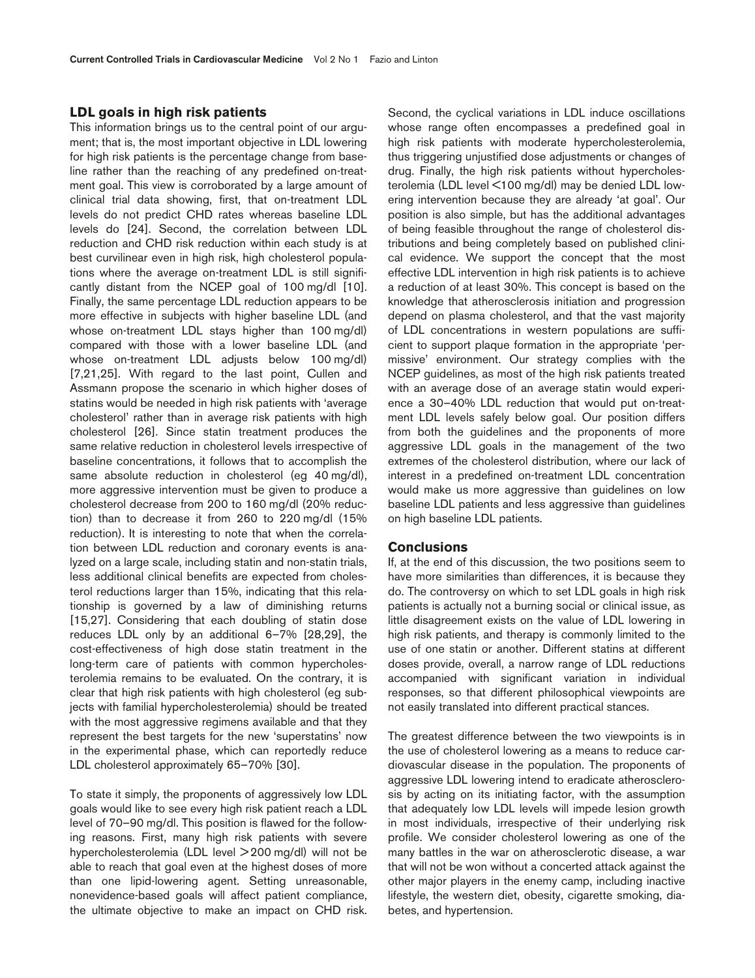#### **LDL goals in high risk patients**

This information brings us to the central point of our argument; that is, the most important objective in LDL lowering for high risk patients is the percentage change from baseline rather than the reaching of any predefined on-treatment goal. This view is corroborated by a large amount of clinical trial data showing, first, that on-treatment LDL levels do not predict CHD rates whereas baseline LDL levels do [24]. Second, the correlation between LDL reduction and CHD risk reduction within each study is at best curvilinear even in high risk, high cholesterol populations where the average on-treatment LDL is still significantly distant from the NCEP goal of 100 mg/dl [10]. Finally, the same percentage LDL reduction appears to be more effective in subjects with higher baseline LDL (and whose on-treatment LDL stays higher than 100 mg/dl) compared with those with a lower baseline LDL (and whose on-treatment LDL adjusts below 100 mg/dl) [7,21,25]. With regard to the last point, Cullen and Assmann propose the scenario in which higher doses of statins would be needed in high risk patients with 'average cholesterol' rather than in average risk patients with high cholesterol [26]. Since statin treatment produces the same relative reduction in cholesterol levels irrespective of baseline concentrations, it follows that to accomplish the same absolute reduction in cholesterol (eg 40 mg/dl), more aggressive intervention must be given to produce a cholesterol decrease from 200 to 160 mg/dl (20% reduction) than to decrease it from 260 to 220 mg/dl (15% reduction). It is interesting to note that when the correlation between LDL reduction and coronary events is analyzed on a large scale, including statin and non-statin trials, less additional clinical benefits are expected from cholesterol reductions larger than 15%, indicating that this relationship is governed by a law of diminishing returns [15,27]. Considering that each doubling of statin dose reduces LDL only by an additional 6–7% [28,29], the cost-effectiveness of high dose statin treatment in the long-term care of patients with common hypercholesterolemia remains to be evaluated. On the contrary, it is clear that high risk patients with high cholesterol (eg subjects with familial hypercholesterolemia) should be treated with the most aggressive regimens available and that they represent the best targets for the new 'superstatins' now in the experimental phase, which can reportedly reduce LDL cholesterol approximately 65–70% [30].

To state it simply, the proponents of aggressively low LDL goals would like to see every high risk patient reach a LDL level of 70–90 mg/dl. This position is flawed for the following reasons. First, many high risk patients with severe hypercholesterolemia (LDL level > 200 mg/dl) will not be able to reach that goal even at the highest doses of more than one lipid-lowering agent. Setting unreasonable, nonevidence-based goals will affect patient compliance, the ultimate objective to make an impact on CHD risk.

Second, the cyclical variations in LDL induce oscillations whose range often encompasses a predefined goal in high risk patients with moderate hypercholesterolemia, thus triggering unjustified dose adjustments or changes of drug. Finally, the high risk patients without hypercholesterolemia (LDL level <100 mg/dl) may be denied LDL lowering intervention because they are already 'at goal'. Our position is also simple, but has the additional advantages of being feasible throughout the range of cholesterol distributions and being completely based on published clinical evidence. We support the concept that the most effective LDL intervention in high risk patients is to achieve a reduction of at least 30%. This concept is based on the knowledge that atherosclerosis initiation and progression depend on plasma cholesterol, and that the vast majority of LDL concentrations in western populations are sufficient to support plaque formation in the appropriate 'permissive' environment. Our strategy complies with the NCEP guidelines, as most of the high risk patients treated with an average dose of an average statin would experience a 30–40% LDL reduction that would put on-treatment LDL levels safely below goal. Our position differs from both the guidelines and the proponents of more aggressive LDL goals in the management of the two extremes of the cholesterol distribution, where our lack of interest in a predefined on-treatment LDL concentration would make us more aggressive than guidelines on low baseline LDL patients and less aggressive than guidelines on high baseline LDL patients.

#### **Conclusions**

If, at the end of this discussion, the two positions seem to have more similarities than differences, it is because they do. The controversy on which to set LDL goals in high risk patients is actually not a burning social or clinical issue, as little disagreement exists on the value of LDL lowering in high risk patients, and therapy is commonly limited to the use of one statin or another. Different statins at different doses provide, overall, a narrow range of LDL reductions accompanied with significant variation in individual responses, so that different philosophical viewpoints are not easily translated into different practical stances.

The greatest difference between the two viewpoints is in the use of cholesterol lowering as a means to reduce cardiovascular disease in the population. The proponents of aggressive LDL lowering intend to eradicate atherosclerosis by acting on its initiating factor, with the assumption that adequately low LDL levels will impede lesion growth in most individuals, irrespective of their underlying risk profile. We consider cholesterol lowering as one of the many battles in the war on atherosclerotic disease, a war that will not be won without a concerted attack against the other major players in the enemy camp, including inactive lifestyle, the western diet, obesity, cigarette smoking, diabetes, and hypertension.